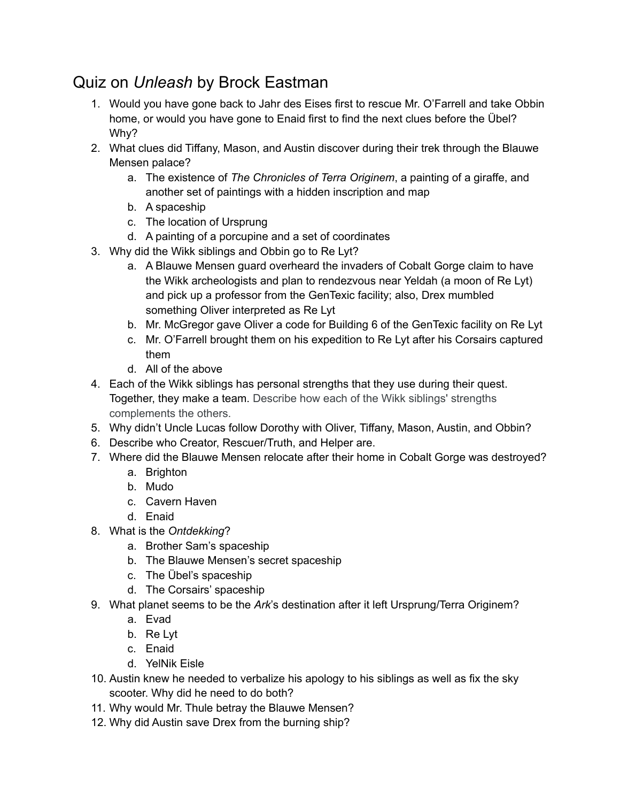## Quiz on *Unleash* by Brock Eastman

- 1. Would you have gone back to Jahr des Eises first to rescue Mr. O'Farrell and take Obbin home, or would you have gone to Enaid first to find the next clues before the Übel? Why?
- 2. What clues did Tiffany, Mason, and Austin discover during their trek through the Blauwe Mensen palace?
	- a. The existence of *The Chronicles of Terra Originem*, a painting of a giraffe, and another set of paintings with a hidden inscription and map
	- b. A spaceship
	- c. The location of Ursprung
	- d. A painting of a porcupine and a set of coordinates
- 3. Why did the Wikk siblings and Obbin go to Re Lyt?
	- a. A Blauwe Mensen guard overheard the invaders of Cobalt Gorge claim to have the Wikk archeologists and plan to rendezvous near Yeldah (a moon of Re Lyt) and pick up a professor from the GenTexic facility; also, Drex mumbled something Oliver interpreted as Re Lyt
	- b. Mr. McGregor gave Oliver a code for Building 6 of the GenTexic facility on Re Lyt
	- c. Mr. O'Farrell brought them on his expedition to Re Lyt after his Corsairs captured them
	- d. All of the above
- 4. Each of the Wikk siblings has personal strengths that they use during their quest. Together, they make a team. Describe how each of the Wikk siblings' strengths complements the others.
- 5. Why didn't Uncle Lucas follow Dorothy with Oliver, Tiffany, Mason, Austin, and Obbin?
- 6. Describe who Creator, Rescuer/Truth, and Helper are.
- 7. Where did the Blauwe Mensen relocate after their home in Cobalt Gorge was destroyed?
	- a. Brighton
	- b. Mudo
	- c. Cavern Haven
	- d. Enaid
- 8. What is the *Ontdekking*?
	- a. Brother Sam's spaceship
	- b. The Blauwe Mensen's secret spaceship
	- c. The Übel's spaceship
	- d. The Corsairs' spaceship
- 9. What planet seems to be the *Ark*'s destination after it left Ursprung/Terra Originem?
	- a. Evad
	- b. Re Lyt
	- c. Enaid
	- d. YelNik Eisle
- 10. Austin knew he needed to verbalize his apology to his siblings as well as fix the sky scooter. Why did he need to do both?
- 11. Why would Mr. Thule betray the Blauwe Mensen?
- 12. Why did Austin save Drex from the burning ship?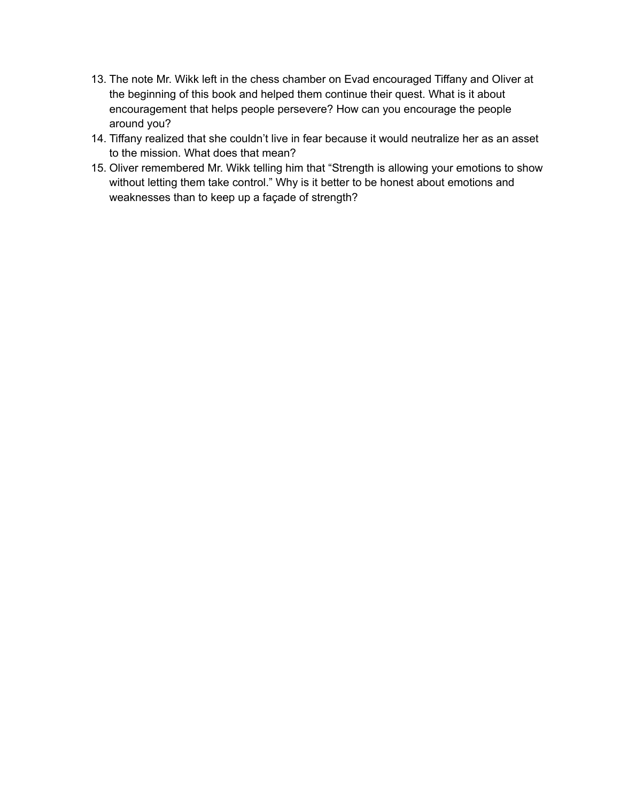- 13. The note Mr. Wikk left in the chess chamber on Evad encouraged Tiffany and Oliver at the beginning of this book and helped them continue their quest. What is it about encouragement that helps people persevere? How can you encourage the people around you?
- 14. Tiffany realized that she couldn't live in fear because it would neutralize her as an asset to the mission. What does that mean?
- 15. Oliver remembered Mr. Wikk telling him that "Strength is allowing your emotions to show without letting them take control." Why is it better to be honest about emotions and weaknesses than to keep up a façade of strength?